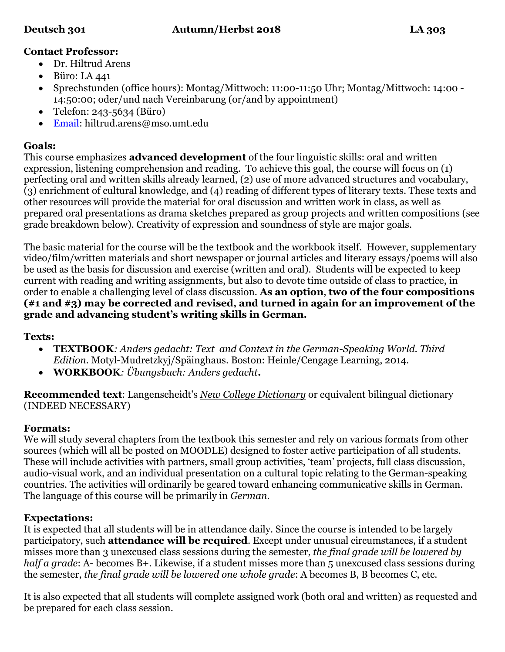# **Contact Professor:**

- Dr. Hiltrud Arens
- $\bullet$  Büro: LA 441
- Sprechstunden (office hours): Montag/Mittwoch: 11:00-11:50 Uhr; Montag/Mittwoch: 14:00 14:50:00; oder/und nach Vereinbarung (or/and by appointment)
- Telefon: 243-5634 (Büro)
- [Email:](mailto:hiltrud.arens@mso.umt.edu) hiltrud.arens@mso.umt.edu

### **Goals:**

This course emphasizes **advanced development** of the four linguistic skills: oral and written expression, listening comprehension and reading. To achieve this goal, the course will focus on (1) perfecting oral and written skills already learned, (2) use of more advanced structures and vocabulary, (3) enrichment of cultural knowledge, and (4) reading of different types of literary texts. These texts and other resources will provide the material for oral discussion and written work in class, as well as prepared oral presentations as drama sketches prepared as group projects and written compositions (see grade breakdown below). Creativity of expression and soundness of style are major goals.

The basic material for the course will be the textbook and the workbook itself. However, supplementary video/film/written materials and short newspaper or journal articles and literary essays/poems will also be used as the basis for discussion and exercise (written and oral). Students will be expected to keep current with reading and writing assignments, but also to devote time outside of class to practice, in order to enable a challenging level of class discussion. **As an option**, **two of the four compositions (#1 and #3) may be corrected and revised, and turned in again for an improvement of the grade and advancing student's writing skills in German.**

#### **Texts:**

- **TEXTBOOK***: Anders gedacht: Text and Context in the German-Speaking World. Third Edition.* Motyl-Mudretzkyj/Späinghaus. Boston: Heinle/Cengage Learning, 2014.
- **WORKBOOK***: Übungsbuch: Anders gedacht***.**

**Recommended text**: Langenscheidt's *New College Dictionary* or equivalent bilingual dictionary (INDEED NECESSARY)

# **Formats:**

We will study several chapters from the textbook this semester and rely on various formats from other sources (which will all be posted on MOODLE) designed to foster active participation of all students. These will include activities with partners, small group activities, 'team' projects, full class discussion, audio-visual work, and an individual presentation on a cultural topic relating to the German-speaking countries. The activities will ordinarily be geared toward enhancing communicative skills in German. The language of this course will be primarily in *German*.

# **Expectations:**

It is expected that all students will be in attendance daily. Since the course is intended to be largely participatory, such **attendance will be required**. Except under unusual circumstances, if a student misses more than 3 unexcused class sessions during the semester, *the final grade will be lowered by half a grade*: A- becomes B+. Likewise, if a student misses more than 5 unexcused class sessions during the semester, *the final grade will be lowered one whole grade*: A becomes B, B becomes C, etc.

It is also expected that all students will complete assigned work (both oral and written) as requested and be prepared for each class session.